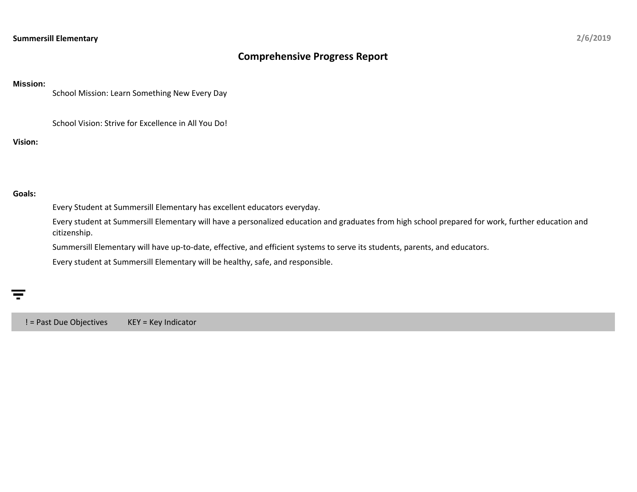## **Comprehensive Progress Report**

## **Mission:**

School Mission: Learn Something New Every Day

School Vision: Strive for Excellence in All You Do!

**Vision:**

## **Goals:**

Every Student at Summersill Elementary has excellent educators everyday.

Every student at Summersill Elementary will have a personalized education and graduates from high school prepared for work, further education and citizenship.

Summersill Elementary will have up-to-date, effective, and efficient systems to serve its students, parents, and educators.

Every student at Summersill Elementary will be healthy, safe, and responsible.

! = Past Due Objectives KEY = Key Indicator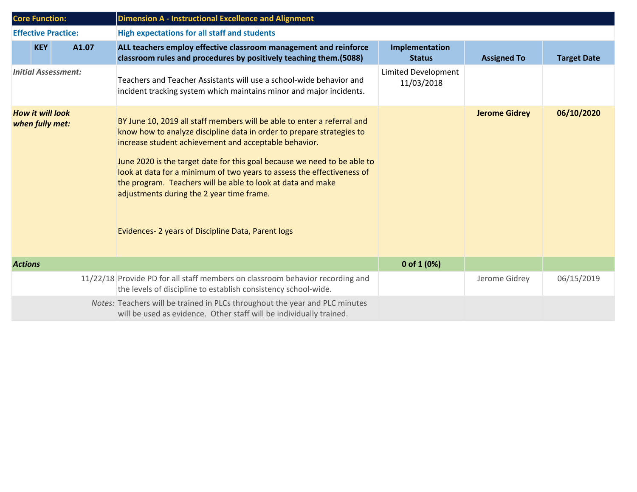|                                            | <b>Core Function:</b>      |       | <b>Dimension A - Instructional Excellence and Alignment</b>                                                                                                                                                                                                                                                                                                                                                                                                                                                                      |                                   |                      |                    |
|--------------------------------------------|----------------------------|-------|----------------------------------------------------------------------------------------------------------------------------------------------------------------------------------------------------------------------------------------------------------------------------------------------------------------------------------------------------------------------------------------------------------------------------------------------------------------------------------------------------------------------------------|-----------------------------------|----------------------|--------------------|
|                                            | <b>Effective Practice:</b> |       | <b>High expectations for all staff and students</b>                                                                                                                                                                                                                                                                                                                                                                                                                                                                              |                                   |                      |                    |
|                                            | <b>KEY</b>                 | A1.07 | ALL teachers employ effective classroom management and reinforce<br>classroom rules and procedures by positively teaching them.(5088)                                                                                                                                                                                                                                                                                                                                                                                            | Implementation<br><b>Status</b>   | <b>Assigned To</b>   | <b>Target Date</b> |
| <b>Initial Assessment:</b>                 |                            |       | Teachers and Teacher Assistants will use a school-wide behavior and<br>incident tracking system which maintains minor and major incidents.                                                                                                                                                                                                                                                                                                                                                                                       | Limited Development<br>11/03/2018 |                      |                    |
| <b>How it will look</b><br>when fully met: |                            |       | BY June 10, 2019 all staff members will be able to enter a referral and<br>know how to analyze discipline data in order to prepare strategies to<br>increase student achievement and acceptable behavior.<br>June 2020 is the target date for this goal because we need to be able to<br>look at data for a minimum of two years to assess the effectiveness of<br>the program. Teachers will be able to look at data and make<br>adjustments during the 2 year time frame.<br>Evidences-2 years of Discipline Data, Parent logs |                                   | <b>Jerome Gidrey</b> | 06/10/2020         |
| <b>Actions</b>                             |                            |       |                                                                                                                                                                                                                                                                                                                                                                                                                                                                                                                                  | 0 of 1 $(0%)$                     |                      |                    |
|                                            |                            |       | 11/22/18 Provide PD for all staff members on classroom behavior recording and<br>the levels of discipline to establish consistency school-wide.                                                                                                                                                                                                                                                                                                                                                                                  |                                   | Jerome Gidrey        | 06/15/2019         |
|                                            |                            |       | Notes: Teachers will be trained in PLCs throughout the year and PLC minutes<br>will be used as evidence. Other staff will be individually trained.                                                                                                                                                                                                                                                                                                                                                                               |                                   |                      |                    |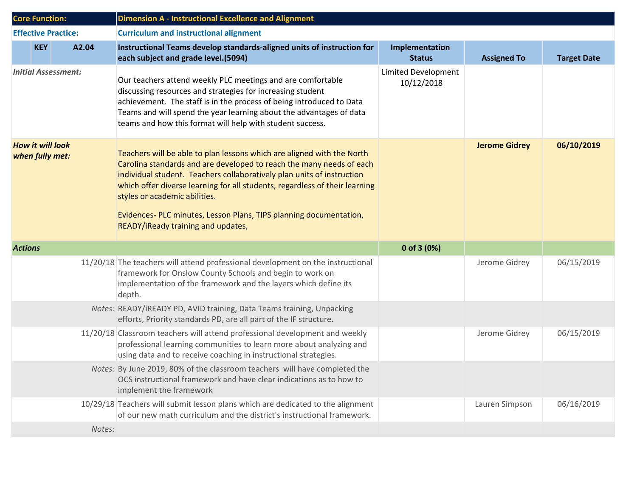|                                            | <b>Core Function:</b> |                            | <b>Dimension A - Instructional Excellence and Alignment</b>                                                                                                                                                                                                                                                                                                                                                                                         |                                   |                      |                    |
|--------------------------------------------|-----------------------|----------------------------|-----------------------------------------------------------------------------------------------------------------------------------------------------------------------------------------------------------------------------------------------------------------------------------------------------------------------------------------------------------------------------------------------------------------------------------------------------|-----------------------------------|----------------------|--------------------|
|                                            |                       | <b>Effective Practice:</b> | <b>Curriculum and instructional alignment</b>                                                                                                                                                                                                                                                                                                                                                                                                       |                                   |                      |                    |
|                                            | <b>KEY</b>            | A2.04                      | Instructional Teams develop standards-aligned units of instruction for<br>each subject and grade level.(5094)                                                                                                                                                                                                                                                                                                                                       | Implementation<br><b>Status</b>   | <b>Assigned To</b>   | <b>Target Date</b> |
| <b>Initial Assessment:</b>                 |                       |                            | Our teachers attend weekly PLC meetings and are comfortable<br>discussing resources and strategies for increasing student<br>achievement. The staff is in the process of being introduced to Data<br>Teams and will spend the year learning about the advantages of data<br>teams and how this format will help with student success.                                                                                                               | Limited Development<br>10/12/2018 |                      |                    |
| <b>How it will look</b><br>when fully met: |                       |                            | Teachers will be able to plan lessons which are aligned with the North<br>Carolina standards and are developed to reach the many needs of each<br>individual student. Teachers collaboratively plan units of instruction<br>which offer diverse learning for all students, regardless of their learning<br>styles or academic abilities.<br>Evidences-PLC minutes, Lesson Plans, TIPS planning documentation,<br>READY/iReady training and updates, |                                   | <b>Jerome Gidrey</b> | 06/10/2019         |
| <b>Actions</b>                             |                       |                            |                                                                                                                                                                                                                                                                                                                                                                                                                                                     | 0 of 3 $(0%)$                     |                      |                    |
|                                            |                       |                            | 11/20/18 The teachers will attend professional development on the instructional<br>framework for Onslow County Schools and begin to work on<br>implementation of the framework and the layers which define its<br>depth.                                                                                                                                                                                                                            |                                   | Jerome Gidrey        | 06/15/2019         |
|                                            |                       |                            | Notes: READY/IREADY PD, AVID training, Data Teams training, Unpacking<br>efforts, Priority standards PD, are all part of the IF structure.                                                                                                                                                                                                                                                                                                          |                                   |                      |                    |
|                                            |                       |                            | 11/20/18 Classroom teachers will attend professional development and weekly<br>professional learning communities to learn more about analyzing and<br>using data and to receive coaching in instructional strategies.                                                                                                                                                                                                                               |                                   | Jerome Gidrey        | 06/15/2019         |
|                                            |                       |                            | Notes: By June 2019, 80% of the classroom teachers will have completed the<br>OCS instructional framework and have clear indications as to how to<br>implement the framework                                                                                                                                                                                                                                                                        |                                   |                      |                    |
|                                            |                       |                            | 10/29/18 Teachers will submit lesson plans which are dedicated to the alignment<br>of our new math curriculum and the district's instructional framework.                                                                                                                                                                                                                                                                                           |                                   | Lauren Simpson       | 06/16/2019         |
|                                            |                       | Notes:                     |                                                                                                                                                                                                                                                                                                                                                                                                                                                     |                                   |                      |                    |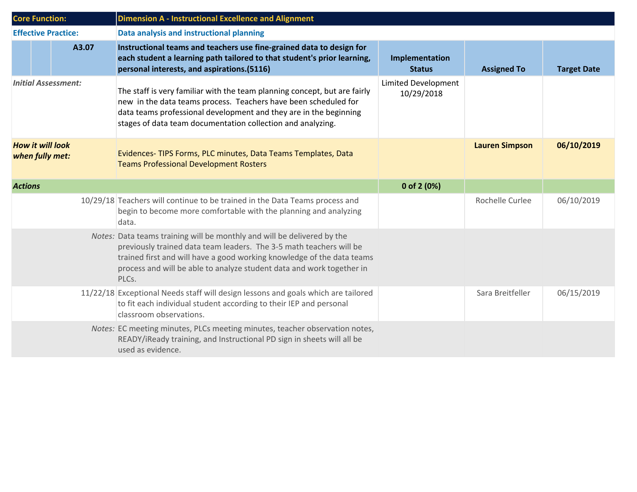|                                            | <b>Core Function:</b>      |       | <b>Dimension A - Instructional Excellence and Alignment</b>                                                                                                                                                                                                                                                |                                          |                       |                    |
|--------------------------------------------|----------------------------|-------|------------------------------------------------------------------------------------------------------------------------------------------------------------------------------------------------------------------------------------------------------------------------------------------------------------|------------------------------------------|-----------------------|--------------------|
|                                            | <b>Effective Practice:</b> |       | Data analysis and instructional planning                                                                                                                                                                                                                                                                   |                                          |                       |                    |
|                                            |                            | A3.07 | Instructional teams and teachers use fine-grained data to design for<br>each student a learning path tailored to that student's prior learning,<br>personal interests, and aspirations.(5116)                                                                                                              | Implementation<br><b>Status</b>          | <b>Assigned To</b>    | <b>Target Date</b> |
| <b>Initial Assessment:</b>                 |                            |       | The staff is very familiar with the team planning concept, but are fairly<br>new in the data teams process. Teachers have been scheduled for<br>data teams professional development and they are in the beginning<br>stages of data team documentation collection and analyzing.                           | <b>Limited Development</b><br>10/29/2018 |                       |                    |
| <b>How it will look</b><br>when fully met: |                            |       | Evidences-TIPS Forms, PLC minutes, Data Teams Templates, Data<br><b>Teams Professional Development Rosters</b>                                                                                                                                                                                             |                                          | <b>Lauren Simpson</b> | 06/10/2019         |
| <b>Actions</b>                             |                            |       |                                                                                                                                                                                                                                                                                                            | 0 of 2 (0%)                              |                       |                    |
|                                            |                            |       | 10/29/18 Teachers will continue to be trained in the Data Teams process and<br>begin to become more comfortable with the planning and analyzing<br>data.                                                                                                                                                   |                                          | Rochelle Curlee       | 06/10/2019         |
|                                            |                            |       | Notes: Data teams training will be monthly and will be delivered by the<br>previously trained data team leaders. The 3-5 math teachers will be<br>trained first and will have a good working knowledge of the data teams<br>process and will be able to analyze student data and work together in<br>PLCs. |                                          |                       |                    |
|                                            |                            |       | 11/22/18 Exceptional Needs staff will design lessons and goals which are tailored<br>to fit each individual student according to their IEP and personal<br>classroom observations.                                                                                                                         |                                          | Sara Breitfeller      | 06/15/2019         |
|                                            |                            |       | Notes: EC meeting minutes, PLCs meeting minutes, teacher observation notes,<br>READY/iReady training, and Instructional PD sign in sheets will all be<br>used as evidence.                                                                                                                                 |                                          |                       |                    |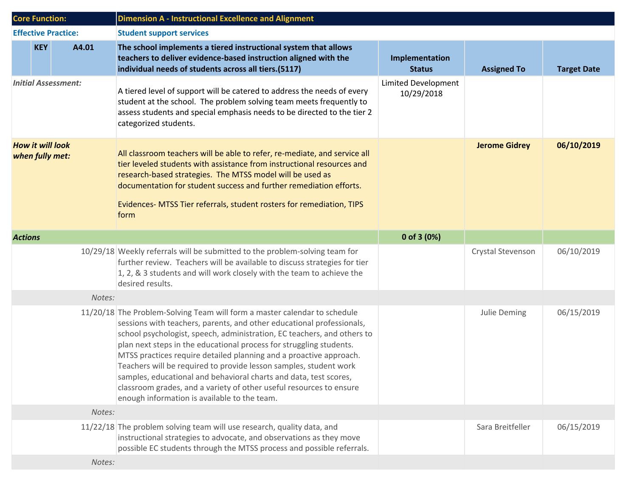| <b>Core Function:</b>                      |            |                            | <b>Dimension A - Instructional Excellence and Alignment</b>                                                                                                                                                                                                                                                                                                                                                                                                                                                                                                                                                                                 |                                          |                      |                    |
|--------------------------------------------|------------|----------------------------|---------------------------------------------------------------------------------------------------------------------------------------------------------------------------------------------------------------------------------------------------------------------------------------------------------------------------------------------------------------------------------------------------------------------------------------------------------------------------------------------------------------------------------------------------------------------------------------------------------------------------------------------|------------------------------------------|----------------------|--------------------|
|                                            |            | <b>Effective Practice:</b> | <b>Student support services</b>                                                                                                                                                                                                                                                                                                                                                                                                                                                                                                                                                                                                             |                                          |                      |                    |
|                                            | <b>KEY</b> | A4.01                      | The school implements a tiered instructional system that allows<br>teachers to deliver evidence-based instruction aligned with the<br>individual needs of students across all tiers.(5117)                                                                                                                                                                                                                                                                                                                                                                                                                                                  | Implementation<br><b>Status</b>          | <b>Assigned To</b>   | <b>Target Date</b> |
| <b>Initial Assessment:</b>                 |            |                            | A tiered level of support will be catered to address the needs of every<br>student at the school. The problem solving team meets frequently to<br>assess students and special emphasis needs to be directed to the tier 2<br>categorized students.                                                                                                                                                                                                                                                                                                                                                                                          | <b>Limited Development</b><br>10/29/2018 |                      |                    |
| <b>How it will look</b><br>when fully met: |            |                            | All classroom teachers will be able to refer, re-mediate, and service all<br>tier leveled students with assistance from instructional resources and<br>research-based strategies. The MTSS model will be used as<br>documentation for student success and further remediation efforts.<br>Evidences- MTSS Tier referrals, student rosters for remediation, TIPS<br>form                                                                                                                                                                                                                                                                     |                                          | <b>Jerome Gidrey</b> | 06/10/2019         |
| <b>Actions</b>                             |            |                            |                                                                                                                                                                                                                                                                                                                                                                                                                                                                                                                                                                                                                                             | 0 of 3 $(0%)$                            |                      |                    |
|                                            |            |                            | 10/29/18 Weekly referrals will be submitted to the problem-solving team for<br>further review. Teachers will be available to discuss strategies for tier<br>1, 2, & 3 students and will work closely with the team to achieve the<br>desired results.                                                                                                                                                                                                                                                                                                                                                                                       |                                          | Crystal Stevenson    | 06/10/2019         |
|                                            |            | Notes:                     |                                                                                                                                                                                                                                                                                                                                                                                                                                                                                                                                                                                                                                             |                                          |                      |                    |
|                                            |            |                            | 11/20/18 The Problem-Solving Team will form a master calendar to schedule<br>sessions with teachers, parents, and other educational professionals,<br>school psychologist, speech, administration, EC teachers, and others to<br>plan next steps in the educational process for struggling students.<br>MTSS practices require detailed planning and a proactive approach.<br>Teachers will be required to provide lesson samples, student work<br>samples, educational and behavioral charts and data, test scores,<br>classroom grades, and a variety of other useful resources to ensure<br>enough information is available to the team. |                                          | Julie Deming         | 06/15/2019         |
|                                            |            | Notes:                     |                                                                                                                                                                                                                                                                                                                                                                                                                                                                                                                                                                                                                                             |                                          |                      |                    |
|                                            |            |                            | 11/22/18 The problem solving team will use research, quality data, and<br>instructional strategies to advocate, and observations as they move<br>possible EC students through the MTSS process and possible referrals.                                                                                                                                                                                                                                                                                                                                                                                                                      |                                          | Sara Breitfeller     | 06/15/2019         |
|                                            |            | Notes:                     |                                                                                                                                                                                                                                                                                                                                                                                                                                                                                                                                                                                                                                             |                                          |                      |                    |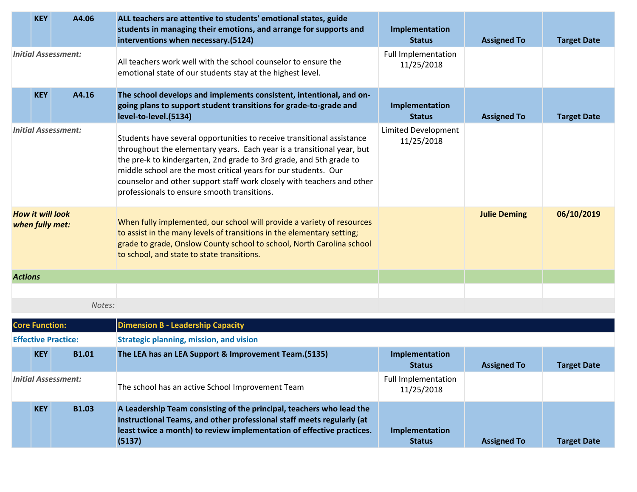|                                            | <b>KEY</b>            | A4.06                      | ALL teachers are attentive to students' emotional states, guide<br>students in managing their emotions, and arrange for supports and<br>interventions when necessary.(5124)                                                                                                                                                                                                                                         | Implementation<br><b>Status</b>          | <b>Assigned To</b>  | <b>Target Date</b> |
|--------------------------------------------|-----------------------|----------------------------|---------------------------------------------------------------------------------------------------------------------------------------------------------------------------------------------------------------------------------------------------------------------------------------------------------------------------------------------------------------------------------------------------------------------|------------------------------------------|---------------------|--------------------|
|                                            |                       | <b>Initial Assessment:</b> | All teachers work well with the school counselor to ensure the<br>emotional state of our students stay at the highest level.                                                                                                                                                                                                                                                                                        | <b>Full Implementation</b><br>11/25/2018 |                     |                    |
|                                            | <b>KEY</b>            | A4.16                      | The school develops and implements consistent, intentional, and on-<br>going plans to support student transitions for grade-to-grade and<br>level-to-level.(5134)                                                                                                                                                                                                                                                   | Implementation<br><b>Status</b>          | <b>Assigned To</b>  | <b>Target Date</b> |
| <b>Initial Assessment:</b>                 |                       |                            | Students have several opportunities to receive transitional assistance<br>throughout the elementary years. Each year is a transitional year, but<br>the pre-k to kindergarten, 2nd grade to 3rd grade, and 5th grade to<br>middle school are the most critical years for our students. Our<br>counselor and other support staff work closely with teachers and other<br>professionals to ensure smooth transitions. | Limited Development<br>11/25/2018        |                     |                    |
| <b>How it will look</b><br>when fully met: |                       |                            | When fully implemented, our school will provide a variety of resources<br>to assist in the many levels of transitions in the elementary setting;<br>grade to grade, Onslow County school to school, North Carolina school<br>to school, and state to state transitions.                                                                                                                                             |                                          | <b>Julie Deming</b> | 06/10/2019         |
| <b>Actions</b>                             |                       |                            |                                                                                                                                                                                                                                                                                                                                                                                                                     |                                          |                     |                    |
|                                            |                       |                            |                                                                                                                                                                                                                                                                                                                                                                                                                     |                                          |                     |                    |
|                                            |                       | Notes:                     |                                                                                                                                                                                                                                                                                                                                                                                                                     |                                          |                     |                    |
|                                            | <b>Core Function:</b> |                            | <b>Dimension B - Leadership Capacity</b>                                                                                                                                                                                                                                                                                                                                                                            |                                          |                     |                    |
|                                            |                       | <b>Effective Practice:</b> | <b>Strategic planning, mission, and vision</b>                                                                                                                                                                                                                                                                                                                                                                      |                                          |                     |                    |
|                                            | <b>KEY</b>            | <b>B1.01</b>               | The LEA has an LEA Support & Improvement Team.(5135)                                                                                                                                                                                                                                                                                                                                                                | Implementation<br><b>Status</b>          | <b>Assigned To</b>  | <b>Target Date</b> |
| <b>Initial Assessment:</b>                 |                       |                            | The school has an active School Improvement Team                                                                                                                                                                                                                                                                                                                                                                    | <b>Full Implementation</b><br>11/25/2018 |                     |                    |
|                                            | <b>KEY</b>            | <b>B1.03</b>               | A Leadership Team consisting of the principal, teachers who lead the<br>Instructional Teams, and other professional staff meets regularly (at<br>least twice a month) to review implementation of effective practices.<br>(5137)                                                                                                                                                                                    | Implementation<br><b>Status</b>          | <b>Assigned To</b>  | <b>Target Date</b> |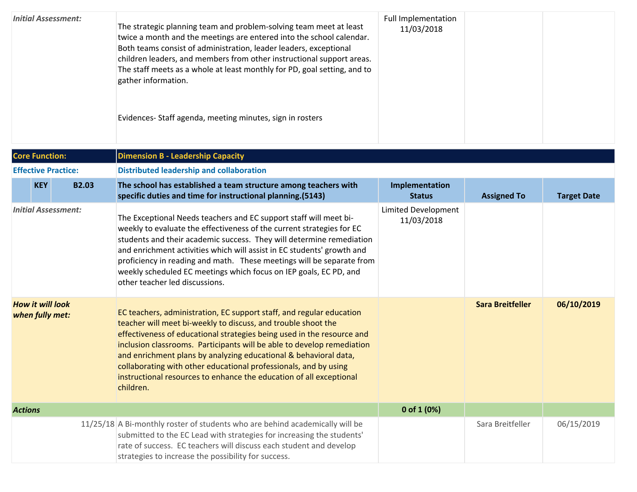| <b>Initial Assessment:</b>                 |              | The strategic planning team and problem-solving team meet at least<br>twice a month and the meetings are entered into the school calendar.<br>Both teams consist of administration, leader leaders, exceptional<br>children leaders, and members from other instructional support areas.<br>The staff meets as a whole at least monthly for PD, goal setting, and to<br>gather information.<br>Evidences-Staff agenda, meeting minutes, sign in rosters                                                               | <b>Full Implementation</b><br>11/03/2018 |                         |                    |  |  |  |  |
|--------------------------------------------|--------------|-----------------------------------------------------------------------------------------------------------------------------------------------------------------------------------------------------------------------------------------------------------------------------------------------------------------------------------------------------------------------------------------------------------------------------------------------------------------------------------------------------------------------|------------------------------------------|-------------------------|--------------------|--|--|--|--|
| <b>Core Function:</b>                      |              | <b>Dimension B - Leadership Capacity</b>                                                                                                                                                                                                                                                                                                                                                                                                                                                                              |                                          |                         |                    |  |  |  |  |
| <b>Effective Practice:</b>                 |              | <b>Distributed leadership and collaboration</b>                                                                                                                                                                                                                                                                                                                                                                                                                                                                       |                                          |                         |                    |  |  |  |  |
| <b>KEY</b>                                 | <b>B2.03</b> | The school has established a team structure among teachers with<br>specific duties and time for instructional planning.(5143)                                                                                                                                                                                                                                                                                                                                                                                         | Implementation<br><b>Status</b>          | <b>Assigned To</b>      | <b>Target Date</b> |  |  |  |  |
| <b>Initial Assessment:</b>                 |              | The Exceptional Needs teachers and EC support staff will meet bi-<br>weekly to evaluate the effectiveness of the current strategies for EC<br>students and their academic success. They will determine remediation<br>and enrichment activities which will assist in EC students' growth and<br>proficiency in reading and math. These meetings will be separate from<br>weekly scheduled EC meetings which focus on IEP goals, EC PD, and<br>other teacher led discussions.                                          | Limited Development<br>11/03/2018        |                         |                    |  |  |  |  |
| <b>How it will look</b><br>when fully met: |              | EC teachers, administration, EC support staff, and regular education<br>teacher will meet bi-weekly to discuss, and trouble shoot the<br>effectiveness of educational strategies being used in the resource and<br>inclusion classrooms. Participants will be able to develop remediation<br>and enrichment plans by analyzing educational & behavioral data,<br>collaborating with other educational professionals, and by using<br>instructional resources to enhance the education of all exceptional<br>children. |                                          | <b>Sara Breitfeller</b> | 06/10/2019         |  |  |  |  |
| <b>Actions</b>                             |              |                                                                                                                                                                                                                                                                                                                                                                                                                                                                                                                       | 0 of 1 (0%)                              |                         |                    |  |  |  |  |
|                                            |              | 11/25/18 A Bi-monthly roster of students who are behind academically will be<br>submitted to the EC Lead with strategies for increasing the students'<br>rate of success. EC teachers will discuss each student and develop<br>strategies to increase the possibility for success.                                                                                                                                                                                                                                    |                                          | Sara Breitfeller        | 06/15/2019         |  |  |  |  |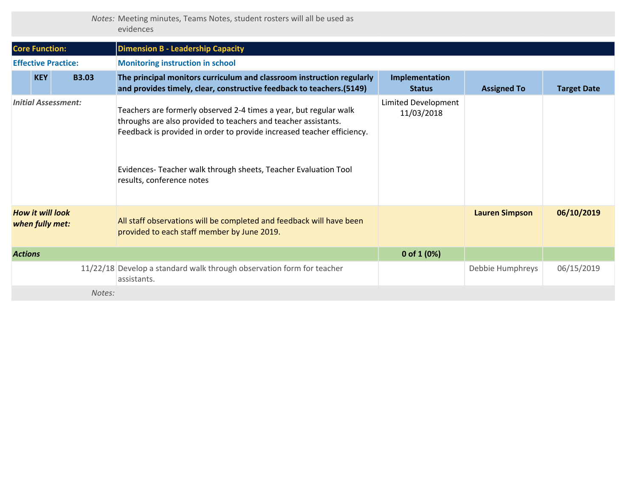|  | Notes: Meeting minutes, Teams Notes, student rosters will all be used as |  |  |  |  |
|--|--------------------------------------------------------------------------|--|--|--|--|
|  | evidences                                                                |  |  |  |  |

| <b>Core Function:</b>                      |              |        | <b>Dimension B - Leadership Capacity</b>                                                                                                                                                                                                                                                                     |                                   |                       |                    |
|--------------------------------------------|--------------|--------|--------------------------------------------------------------------------------------------------------------------------------------------------------------------------------------------------------------------------------------------------------------------------------------------------------------|-----------------------------------|-----------------------|--------------------|
| <b>Effective Practice:</b>                 |              |        | <b>Monitoring instruction in school</b>                                                                                                                                                                                                                                                                      |                                   |                       |                    |
| <b>KEY</b>                                 | <b>B3.03</b> |        | The principal monitors curriculum and classroom instruction regularly<br>and provides timely, clear, constructive feedback to teachers. (5149)                                                                                                                                                               | Implementation<br><b>Status</b>   | <b>Assigned To</b>    | <b>Target Date</b> |
| <b>Initial Assessment:</b>                 |              |        | Teachers are formerly observed 2-4 times a year, but regular walk<br>throughs are also provided to teachers and teacher assistants.<br>Feedback is provided in order to provide increased teacher efficiency.<br>Evidences-Teacher walk through sheets, Teacher Evaluation Tool<br>results, conference notes | Limited Development<br>11/03/2018 |                       |                    |
| <b>How it will look</b><br>when fully met: |              |        | All staff observations will be completed and feedback will have been<br>provided to each staff member by June 2019.                                                                                                                                                                                          |                                   | <b>Lauren Simpson</b> | 06/10/2019         |
| <b>Actions</b>                             |              |        |                                                                                                                                                                                                                                                                                                              | 0 of $1(0%)$                      |                       |                    |
|                                            |              |        | 11/22/18 Develop a standard walk through observation form for teacher<br>assistants.                                                                                                                                                                                                                         |                                   | Debbie Humphreys      | 06/15/2019         |
|                                            |              | Notes: |                                                                                                                                                                                                                                                                                                              |                                   |                       |                    |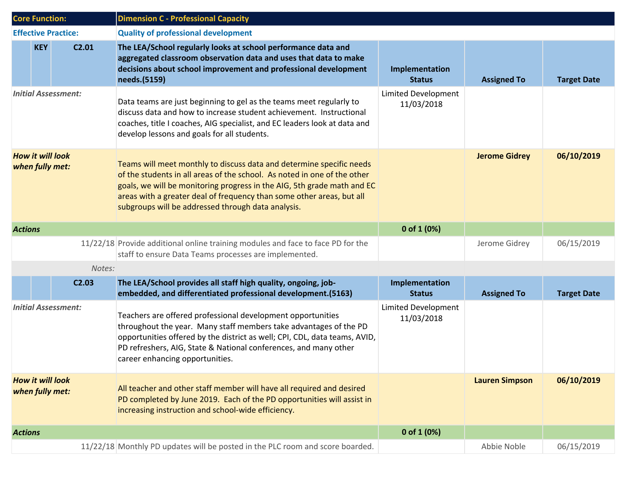|                                            | <b>Core Function:</b>                      | <b>Dimension C - Professional Capacity</b>                                                                                                                                                                                                                                                                                                                 |                                   |                       |                    |
|--------------------------------------------|--------------------------------------------|------------------------------------------------------------------------------------------------------------------------------------------------------------------------------------------------------------------------------------------------------------------------------------------------------------------------------------------------------------|-----------------------------------|-----------------------|--------------------|
|                                            | <b>Effective Practice:</b>                 | <b>Quality of professional development</b>                                                                                                                                                                                                                                                                                                                 |                                   |                       |                    |
|                                            | <b>KEY</b><br>C <sub>2.01</sub>            | The LEA/School regularly looks at school performance data and<br>aggregated classroom observation data and uses that data to make<br>decisions about school improvement and professional development<br>needs.(5159)                                                                                                                                       | Implementation<br><b>Status</b>   | <b>Assigned To</b>    | <b>Target Date</b> |
| <b>Initial Assessment:</b>                 |                                            | Data teams are just beginning to gel as the teams meet regularly to<br>discuss data and how to increase student achievement. Instructional<br>coaches, title I coaches, AIG specialist, and EC leaders look at data and<br>develop lessons and goals for all students.                                                                                     | Limited Development<br>11/03/2018 |                       |                    |
| <b>How it will look</b><br>when fully met: |                                            | Teams will meet monthly to discuss data and determine specific needs<br>of the students in all areas of the school. As noted in one of the other<br>goals, we will be monitoring progress in the AIG, 5th grade math and EC<br>areas with a greater deal of frequency than some other areas, but all<br>subgroups will be addressed through data analysis. |                                   | <b>Jerome Gidrey</b>  | 06/10/2019         |
| <b>Actions</b>                             |                                            |                                                                                                                                                                                                                                                                                                                                                            | 0 of 1 $(0%)$                     |                       |                    |
|                                            |                                            | 11/22/18 Provide additional online training modules and face to face PD for the<br>staff to ensure Data Teams processes are implemented.                                                                                                                                                                                                                   |                                   | Jerome Gidrey         | 06/15/2019         |
|                                            | Notes:                                     |                                                                                                                                                                                                                                                                                                                                                            |                                   |                       |                    |
|                                            | C <sub>2.03</sub>                          | The LEA/School provides all staff high quality, ongoing, job-<br>embedded, and differentiated professional development. (5163)                                                                                                                                                                                                                             | Implementation<br><b>Status</b>   | <b>Assigned To</b>    | <b>Target Date</b> |
| <b>Initial Assessment:</b>                 |                                            | Teachers are offered professional development opportunities<br>throughout the year. Many staff members take advantages of the PD<br>opportunities offered by the district as well; CPI, CDL, data teams, AVID,<br>PD refreshers, AIG, State & National conferences, and many other<br>career enhancing opportunities.                                      | Limited Development<br>11/03/2018 |                       |                    |
|                                            | <b>How it will look</b><br>when fully met: | All teacher and other staff member will have all required and desired<br>PD completed by June 2019. Each of the PD opportunities will assist in<br>increasing instruction and school-wide efficiency.                                                                                                                                                      |                                   | <b>Lauren Simpson</b> | 06/10/2019         |
| <b>Actions</b>                             |                                            |                                                                                                                                                                                                                                                                                                                                                            | 0 of 1 (0%)                       |                       |                    |
|                                            |                                            | 11/22/18 Monthly PD updates will be posted in the PLC room and score boarded.                                                                                                                                                                                                                                                                              |                                   | Abbie Noble           | 06/15/2019         |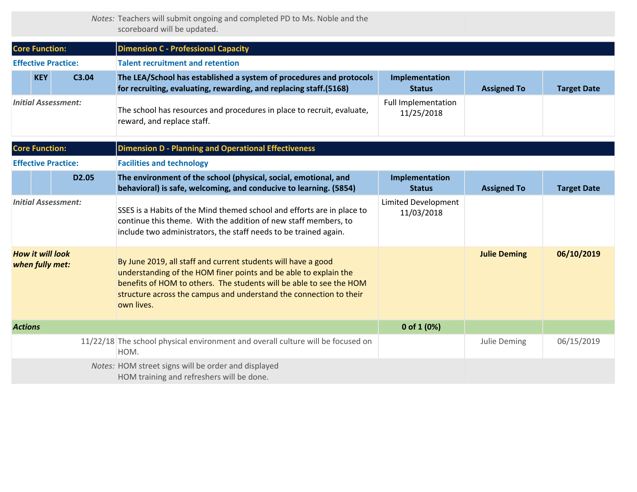*Notes:* Teachers will submit ongoing and completed PD to Ms. Noble and the scoreboard will be updated.

| <b>Core Function:</b>                      |            |                            | <b>Dimension C - Professional Capacity</b>                                                                                                                                                                                                                                                   |                                          |                     |                    |  |  |  |
|--------------------------------------------|------------|----------------------------|----------------------------------------------------------------------------------------------------------------------------------------------------------------------------------------------------------------------------------------------------------------------------------------------|------------------------------------------|---------------------|--------------------|--|--|--|
|                                            |            | <b>Effective Practice:</b> | <b>Talent recruitment and retention</b>                                                                                                                                                                                                                                                      |                                          |                     |                    |  |  |  |
|                                            | <b>KEY</b> | C3.04                      | The LEA/School has established a system of procedures and protocols<br>for recruiting, evaluating, rewarding, and replacing staff.(5168)                                                                                                                                                     | Implementation<br><b>Status</b>          | <b>Assigned To</b>  | <b>Target Date</b> |  |  |  |
| <b>Initial Assessment:</b>                 |            |                            | The school has resources and procedures in place to recruit, evaluate,<br>reward, and replace staff.                                                                                                                                                                                         | <b>Full Implementation</b><br>11/25/2018 |                     |                    |  |  |  |
| <b>Core Function:</b>                      |            |                            | <b>Dimension D - Planning and Operational Effectiveness</b>                                                                                                                                                                                                                                  |                                          |                     |                    |  |  |  |
|                                            |            | <b>Effective Practice:</b> | <b>Facilities and technology</b>                                                                                                                                                                                                                                                             |                                          |                     |                    |  |  |  |
|                                            |            | D2.05                      | The environment of the school (physical, social, emotional, and<br>behavioral) is safe, welcoming, and conducive to learning. (5854)                                                                                                                                                         | Implementation<br><b>Status</b>          | <b>Assigned To</b>  | <b>Target Date</b> |  |  |  |
| <b>Initial Assessment:</b>                 |            |                            | SSES is a Habits of the Mind themed school and efforts are in place to<br>continue this theme. With the addition of new staff members, to<br>include two administrators, the staff needs to be trained again.                                                                                | <b>Limited Development</b><br>11/03/2018 |                     |                    |  |  |  |
| <b>How it will look</b><br>when fully met: |            |                            | By June 2019, all staff and current students will have a good<br>understanding of the HOM finer points and be able to explain the<br>benefits of HOM to others. The students will be able to see the HOM<br>structure across the campus and understand the connection to their<br>own lives. |                                          | <b>Julie Deming</b> | 06/10/2019         |  |  |  |
| <b>Actions</b>                             |            |                            |                                                                                                                                                                                                                                                                                              | 0 of 1 (0%)                              |                     |                    |  |  |  |
|                                            |            |                            | 11/22/18 The school physical environment and overall culture will be focused on<br>HOM.                                                                                                                                                                                                      |                                          | Julie Deming        | 06/15/2019         |  |  |  |
|                                            |            |                            | Notes: HOM street signs will be order and displayed<br>HOM training and refreshers will be done.                                                                                                                                                                                             |                                          |                     |                    |  |  |  |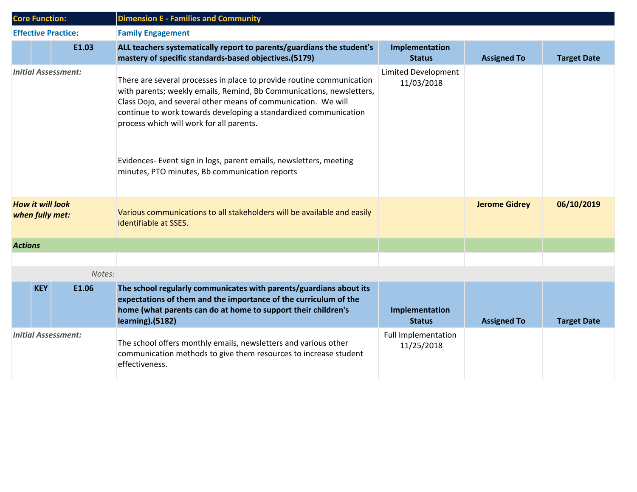|                                            | <b>Core Function:</b> |                            | <b>Dimension E - Families and Community</b>                                                                                                                                                                                                                                                                                                                                                                                                            |                                          |                      |                    |
|--------------------------------------------|-----------------------|----------------------------|--------------------------------------------------------------------------------------------------------------------------------------------------------------------------------------------------------------------------------------------------------------------------------------------------------------------------------------------------------------------------------------------------------------------------------------------------------|------------------------------------------|----------------------|--------------------|
|                                            |                       | <b>Effective Practice:</b> | <b>Family Engagement</b>                                                                                                                                                                                                                                                                                                                                                                                                                               |                                          |                      |                    |
|                                            |                       | E1.03                      | ALL teachers systematically report to parents/guardians the student's<br>mastery of specific standards-based objectives.(5179)                                                                                                                                                                                                                                                                                                                         | Implementation<br><b>Status</b>          | <b>Assigned To</b>   | <b>Target Date</b> |
| <b>Initial Assessment:</b>                 |                       |                            | There are several processes in place to provide routine communication<br>with parents; weekly emails, Remind, Bb Communications, newsletters,<br>Class Dojo, and several other means of communication. We will<br>continue to work towards developing a standardized communication<br>process which will work for all parents.<br>Evidences- Event sign in logs, parent emails, newsletters, meeting<br>minutes, PTO minutes, Bb communication reports | <b>Limited Development</b><br>11/03/2018 |                      |                    |
| <b>How it will look</b><br>when fully met: |                       |                            | Various communications to all stakeholders will be available and easily<br>identifiable at SSES.                                                                                                                                                                                                                                                                                                                                                       |                                          | <b>Jerome Gidrey</b> | 06/10/2019         |
| <b>Actions</b>                             |                       |                            |                                                                                                                                                                                                                                                                                                                                                                                                                                                        |                                          |                      |                    |
|                                            |                       |                            |                                                                                                                                                                                                                                                                                                                                                                                                                                                        |                                          |                      |                    |
|                                            |                       | Notes:                     |                                                                                                                                                                                                                                                                                                                                                                                                                                                        |                                          |                      |                    |
|                                            | <b>KEY</b>            | E1.06                      | The school regularly communicates with parents/guardians about its<br>expectations of them and the importance of the curriculum of the<br>home (what parents can do at home to support their children's<br>learning).(5182)                                                                                                                                                                                                                            | Implementation<br><b>Status</b>          | <b>Assigned To</b>   | <b>Target Date</b> |
| <b>Initial Assessment:</b>                 |                       |                            | The school offers monthly emails, newsletters and various other<br>communication methods to give them resources to increase student<br>effectiveness.                                                                                                                                                                                                                                                                                                  | <b>Full Implementation</b><br>11/25/2018 |                      |                    |